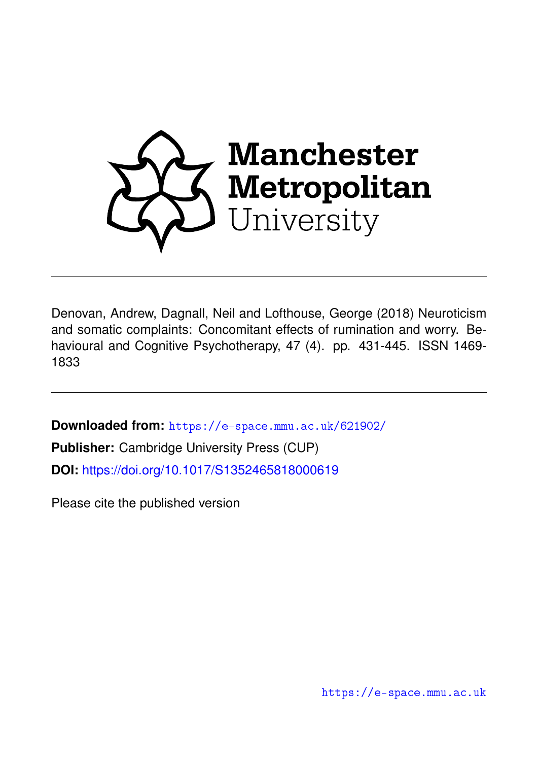

Denovan, Andrew, Dagnall, Neil and Lofthouse, George (2018) Neuroticism and somatic complaints: Concomitant effects of rumination and worry. Behavioural and Cognitive Psychotherapy, 47 (4). pp. 431-445. ISSN 1469- 1833

**Downloaded from:** <https://e-space.mmu.ac.uk/621902/>

**Publisher:** Cambridge University Press (CUP) **DOI:** <https://doi.org/10.1017/S1352465818000619>

Please cite the published version

<https://e-space.mmu.ac.uk>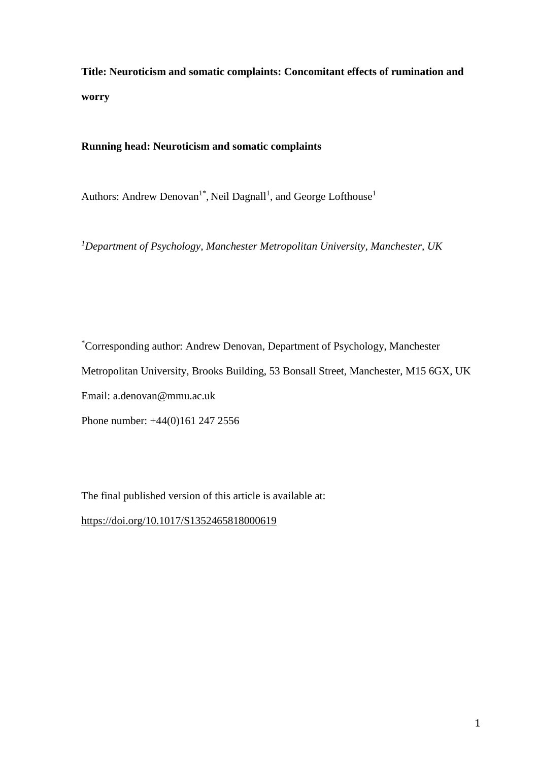**Title: Neuroticism and somatic complaints: Concomitant effects of rumination and worry**

# **Running head: Neuroticism and somatic complaints**

Authors: Andrew Denovan<sup>1\*</sup>, Neil Dagnall<sup>1</sup>, and George Lofthouse<sup>1</sup>

*<sup>1</sup>Department of Psychology, Manchester Metropolitan University, Manchester, UK*

\*Corresponding author: Andrew Denovan, Department of Psychology, Manchester Metropolitan University, Brooks Building, 53 Bonsall Street, Manchester, M15 6GX, UK Email: a.denovan@mmu.ac.uk Phone number: +44(0)161 247 2556

The final published version of this article is available at:

<https://doi.org/10.1017/S1352465818000619>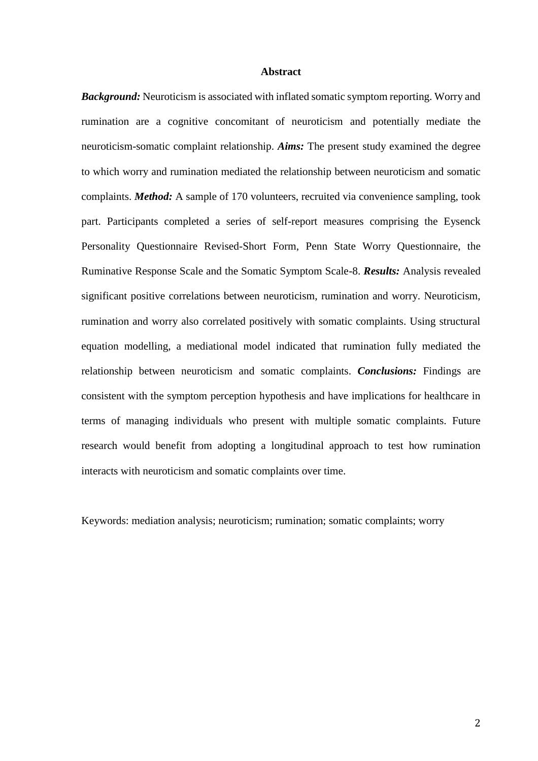### **Abstract**

*Background:* Neuroticism is associated with inflated somatic symptom reporting. Worry and rumination are a cognitive concomitant of neuroticism and potentially mediate the neuroticism-somatic complaint relationship. *Aims:* The present study examined the degree to which worry and rumination mediated the relationship between neuroticism and somatic complaints. *Method:* A sample of 170 volunteers, recruited via convenience sampling, took part. Participants completed a series of self-report measures comprising the Eysenck Personality Questionnaire Revised-Short Form, Penn State Worry Questionnaire, the Ruminative Response Scale and the Somatic Symptom Scale-8. *Results:* Analysis revealed significant positive correlations between neuroticism, rumination and worry. Neuroticism, rumination and worry also correlated positively with somatic complaints. Using structural equation modelling, a mediational model indicated that rumination fully mediated the relationship between neuroticism and somatic complaints. *Conclusions:* Findings are consistent with the symptom perception hypothesis and have implications for healthcare in terms of managing individuals who present with multiple somatic complaints. Future research would benefit from adopting a longitudinal approach to test how rumination interacts with neuroticism and somatic complaints over time.

Keywords: mediation analysis; neuroticism; rumination; somatic complaints; worry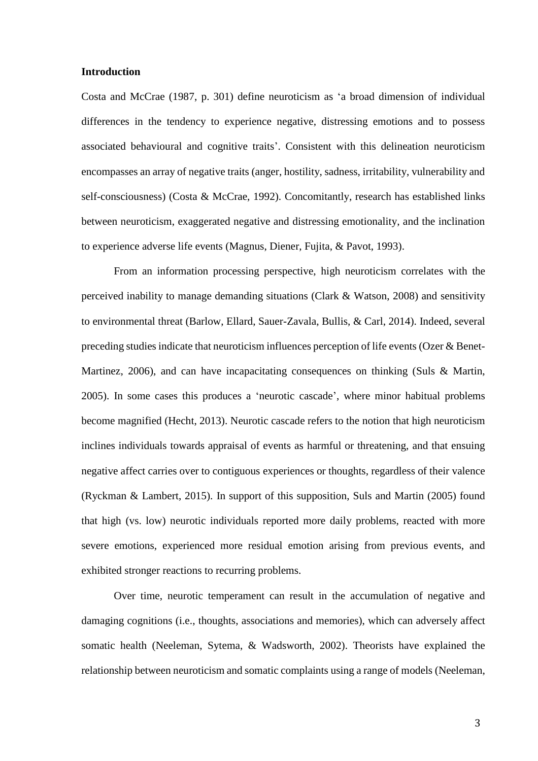### **Introduction**

Costa and McCrae (1987, p. 301) define neuroticism as 'a broad dimension of individual differences in the tendency to experience negative, distressing emotions and to possess associated behavioural and cognitive traits'. Consistent with this delineation neuroticism encompasses an array of negative traits (anger, hostility, sadness, irritability, vulnerability and self-consciousness) (Costa & McCrae, 1992). Concomitantly, research has established links between neuroticism, exaggerated negative and distressing emotionality, and the inclination to experience adverse life events (Magnus, Diener, Fujita, & Pavot, 1993).

From an information processing perspective, high neuroticism correlates with the perceived inability to manage demanding situations (Clark & Watson, 2008) and sensitivity to environmental threat (Barlow, Ellard, Sauer-Zavala, Bullis, & Carl, 2014). Indeed, several preceding studiesindicate that neuroticism influences perception of life events (Ozer & Benet-Martinez, 2006), and can have incapacitating consequences on thinking (Suls & Martin, 2005). In some cases this produces a 'neurotic cascade', where minor habitual problems become magnified (Hecht, 2013). Neurotic cascade refers to the notion that high neuroticism inclines individuals towards appraisal of events as harmful or threatening, and that ensuing negative affect carries over to contiguous experiences or thoughts, regardless of their valence (Ryckman & Lambert, 2015). In support of this supposition, Suls and Martin (2005) found that high (vs. low) neurotic individuals reported more daily problems, reacted with more severe emotions, experienced more residual emotion arising from previous events, and exhibited stronger reactions to recurring problems.

Over time, neurotic temperament can result in the accumulation of negative and damaging cognitions (i.e., thoughts, associations and memories), which can adversely affect somatic health (Neeleman, Sytema, & Wadsworth, 2002). Theorists have explained the relationship between neuroticism and somatic complaints using a range of models (Neeleman,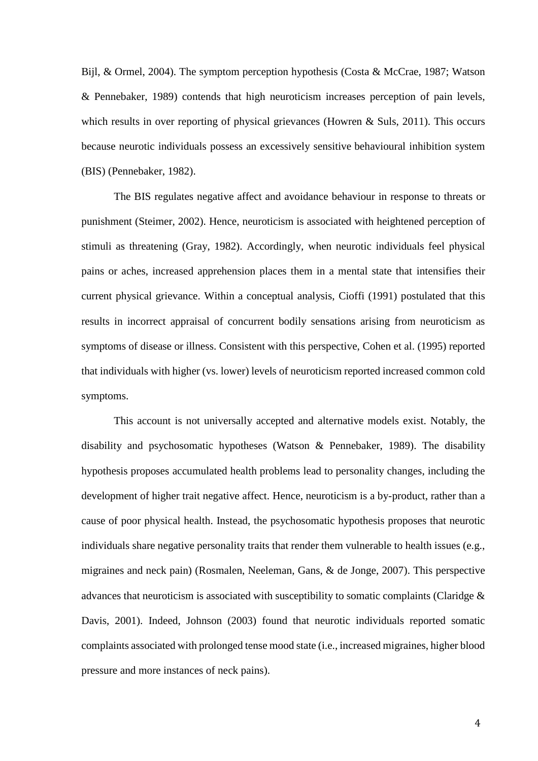Bijl, & Ormel, 2004). The symptom perception hypothesis (Costa & McCrae, 1987; Watson & Pennebaker, 1989) contends that high neuroticism increases perception of pain levels, which results in over reporting of physical grievances (Howren & Suls, 2011). This occurs because neurotic individuals possess an excessively sensitive behavioural inhibition system (BIS) (Pennebaker, 1982).

The BIS regulates negative affect and avoidance behaviour in response to threats or punishment (Steimer, 2002). Hence, neuroticism is associated with heightened perception of stimuli as threatening (Gray, 1982). Accordingly, when neurotic individuals feel physical pains or aches, increased apprehension places them in a mental state that intensifies their current physical grievance. Within a conceptual analysis, Cioffi (1991) postulated that this results in incorrect appraisal of concurrent bodily sensations arising from neuroticism as symptoms of disease or illness. Consistent with this perspective, Cohen et al. (1995) reported that individuals with higher (vs. lower) levels of neuroticism reported increased common cold symptoms.

This account is not universally accepted and alternative models exist. Notably, the disability and psychosomatic hypotheses (Watson & Pennebaker, 1989). The disability hypothesis proposes accumulated health problems lead to personality changes, including the development of higher trait negative affect. Hence, neuroticism is a by-product, rather than a cause of poor physical health. Instead, the psychosomatic hypothesis proposes that neurotic individuals share negative personality traits that render them vulnerable to health issues (e.g., migraines and neck pain) (Rosmalen, Neeleman, Gans, & de Jonge, 2007). This perspective advances that neuroticism is associated with susceptibility to somatic complaints (Claridge & Davis, 2001). Indeed, Johnson (2003) found that neurotic individuals reported somatic complaints associated with prolonged tense mood state (i.e., increased migraines, higher blood pressure and more instances of neck pains).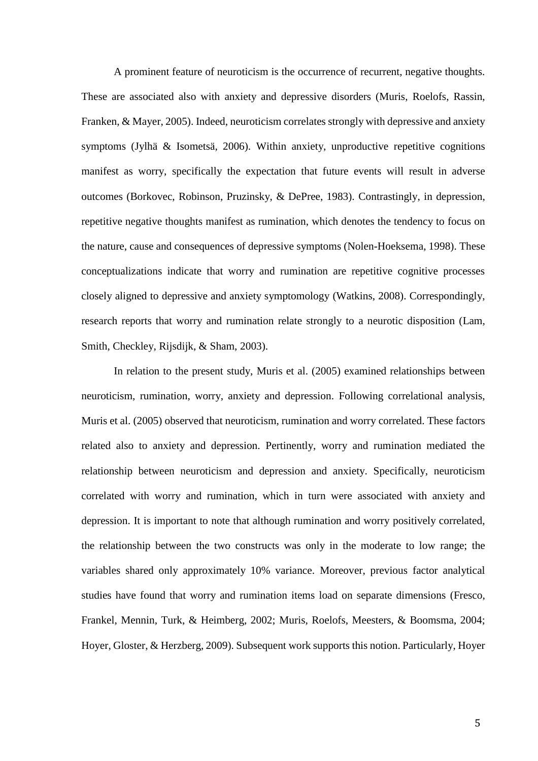A prominent feature of neuroticism is the occurrence of recurrent, negative thoughts. These are associated also with anxiety and depressive disorders (Muris, Roelofs, Rassin, Franken, & Mayer, 2005). Indeed, neuroticism correlates strongly with depressive and anxiety symptoms (Jylhä & Isometsä, 2006). Within anxiety, unproductive repetitive cognitions manifest as worry, specifically the expectation that future events will result in adverse outcomes (Borkovec, Robinson, Pruzinsky, & DePree, 1983). Contrastingly, in depression, repetitive negative thoughts manifest as rumination, which denotes the tendency to focus on the nature, cause and consequences of depressive symptoms (Nolen-Hoeksema, 1998). These conceptualizations indicate that worry and rumination are repetitive cognitive processes closely aligned to depressive and anxiety symptomology (Watkins, 2008). Correspondingly, research reports that worry and rumination relate strongly to a neurotic disposition (Lam, Smith, Checkley, Rijsdijk, & Sham, 2003).

In relation to the present study, Muris et al. (2005) examined relationships between neuroticism, rumination, worry, anxiety and depression. Following correlational analysis, Muris et al. (2005) observed that neuroticism, rumination and worry correlated. These factors related also to anxiety and depression. Pertinently, worry and rumination mediated the relationship between neuroticism and depression and anxiety. Specifically, neuroticism correlated with worry and rumination, which in turn were associated with anxiety and depression. It is important to note that although rumination and worry positively correlated, the relationship between the two constructs was only in the moderate to low range; the variables shared only approximately 10% variance. Moreover, previous factor analytical studies have found that worry and rumination items load on separate dimensions (Fresco, Frankel, Mennin, Turk, & Heimberg, 2002; Muris, Roelofs, Meesters, & Boomsma, 2004; Hoyer, Gloster, & Herzberg, 2009). Subsequent work supports this notion. Particularly, Hoyer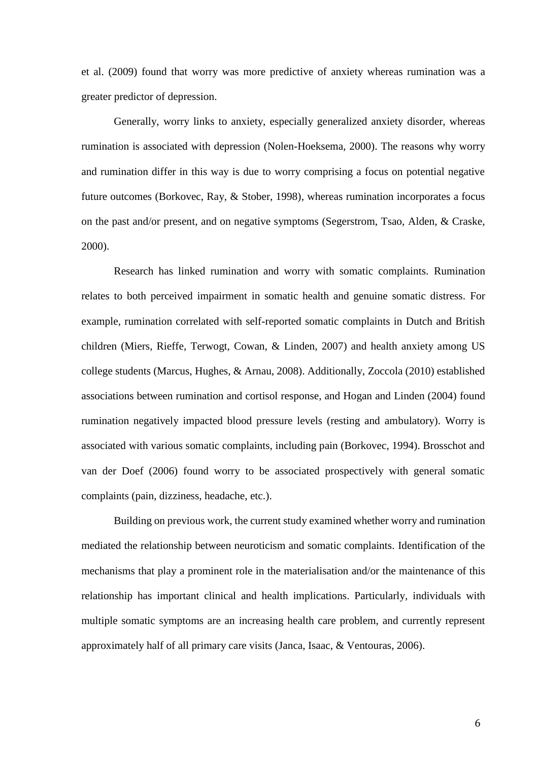et al. (2009) found that worry was more predictive of anxiety whereas rumination was a greater predictor of depression.

Generally, worry links to anxiety, especially generalized anxiety disorder, whereas rumination is associated with depression (Nolen-Hoeksema, 2000). The reasons why worry and rumination differ in this way is due to worry comprising a focus on potential negative future outcomes (Borkovec, Ray, & Stober, 1998), whereas rumination incorporates a focus on the past and/or present, and on negative symptoms (Segerstrom, Tsao, Alden, & Craske, 2000).

Research has linked rumination and worry with somatic complaints. Rumination relates to both perceived impairment in somatic health and genuine somatic distress. For example, rumination correlated with self-reported somatic complaints in Dutch and British children (Miers, Rieffe, Terwogt, Cowan, & Linden, 2007) and health anxiety among US college students (Marcus, Hughes, & Arnau, 2008). Additionally, Zoccola (2010) established associations between rumination and cortisol response, and Hogan and Linden (2004) found rumination negatively impacted blood pressure levels (resting and ambulatory). Worry is associated with various somatic complaints, including pain (Borkovec, 1994). Brosschot and van der Doef (2006) found worry to be associated prospectively with general somatic complaints (pain, dizziness, headache, etc.).

Building on previous work, the current study examined whether worry and rumination mediated the relationship between neuroticism and somatic complaints. Identification of the mechanisms that play a prominent role in the materialisation and/or the maintenance of this relationship has important clinical and health implications. Particularly, individuals with multiple somatic symptoms are an increasing health care problem, and currently represent approximately half of all primary care visits (Janca, Isaac, & Ventouras, 2006).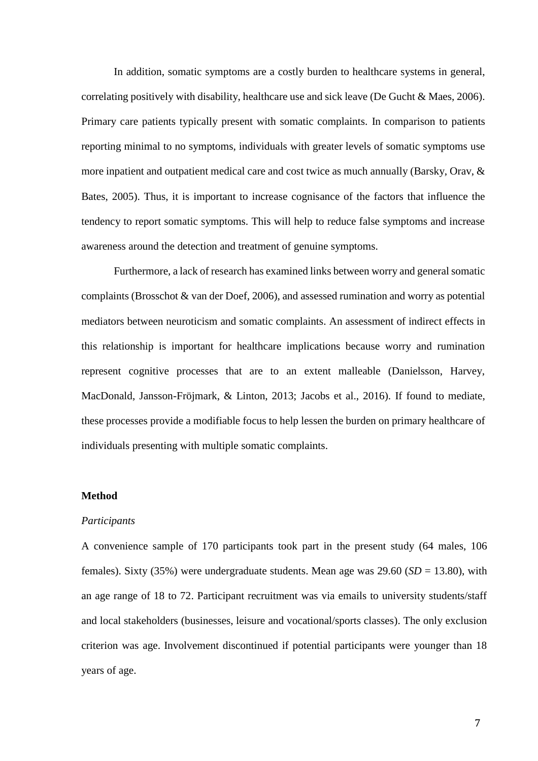In addition, somatic symptoms are a costly burden to healthcare systems in general, correlating positively with disability, healthcare use and sick leave (De Gucht & Maes, 2006). Primary care patients typically present with somatic complaints. In comparison to patients reporting minimal to no symptoms, individuals with greater levels of somatic symptoms use more inpatient and outpatient medical care and cost twice as much annually (Barsky, Orav, & Bates, 2005). Thus, it is important to increase cognisance of the factors that influence the tendency to report somatic symptoms. This will help to reduce false symptoms and increase awareness around the detection and treatment of genuine symptoms.

Furthermore, a lack of research has examined links between worry and general somatic complaints (Brosschot & van der Doef, 2006), and assessed rumination and worry as potential mediators between neuroticism and somatic complaints. An assessment of indirect effects in this relationship is important for healthcare implications because worry and rumination represent cognitive processes that are to an extent malleable (Danielsson, Harvey, MacDonald, Jansson-Fröjmark, & Linton, 2013; Jacobs et al., 2016). If found to mediate, these processes provide a modifiable focus to help lessen the burden on primary healthcare of individuals presenting with multiple somatic complaints.

### **Method**

### *Participants*

A convenience sample of 170 participants took part in the present study (64 males, 106 females). Sixty (35%) were undergraduate students. Mean age was 29.60 (*SD* = 13.80), with an age range of 18 to 72. Participant recruitment was via emails to university students/staff and local stakeholders (businesses, leisure and vocational/sports classes). The only exclusion criterion was age. Involvement discontinued if potential participants were younger than 18 years of age.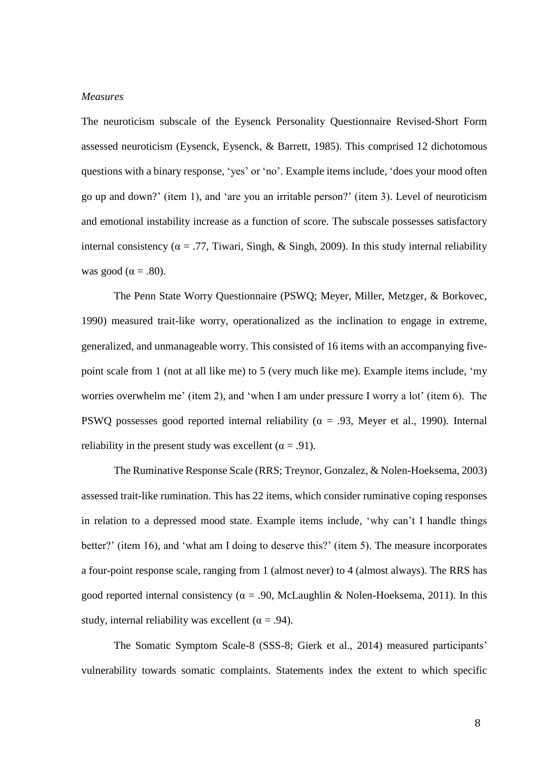# *Measures*

The neuroticism subscale of the Eysenck Personality Questionnaire Revised-Short Form assessed neuroticism (Eysenck, Eysenck, & Barrett, 1985). This comprised 12 dichotomous questions with a binary response, 'yes' or 'no'. Example items include, 'does your mood often go up and down?' (item 1), and 'are you an irritable person?' (item 3). Level of neuroticism and emotional instability increase as a function of score. The subscale possesses satisfactory internal consistency ( $\alpha = .77$ , Tiwari, Singh, & Singh, 2009). In this study internal reliability was good ( $\alpha = .80$ ).

The Penn State Worry Questionnaire (PSWQ; Meyer, Miller, Metzger, & Borkovec, 1990) measured trait-like worry, operationalized as the inclination to engage in extreme, generalized, and unmanageable worry. This consisted of 16 items with an accompanying fivepoint scale from 1 (not at all like me) to 5 (very much like me). Example items include, 'my worries overwhelm me' (item 2), and 'when I am under pressure I worry a lot' (item 6). The PSWQ possesses good reported internal reliability ( $\alpha = .93$ , Meyer et al., 1990). Internal reliability in the present study was excellent ( $\alpha = .91$ ).

The Ruminative Response Scale (RRS; Treynor, Gonzalez, & Nolen-Hoeksema, 2003) assessed trait-like rumination. This has 22 items, which consider ruminative coping responses in relation to a depressed mood state. Example items include, 'why can't I handle things better?' (item 16), and 'what am I doing to deserve this?' (item 5). The measure incorporates a four-point response scale, ranging from 1 (almost never) to 4 (almost always). The RRS has good reported internal consistency ( $\alpha = .90$ , McLaughlin & Nolen-Hoeksema, 2011). In this study, internal reliability was excellent ( $\alpha$  = .94).

The Somatic Symptom Scale-8 (SSS-8; Gierk et al., 2014) measured participants' vulnerability towards somatic complaints. Statements index the extent to which specific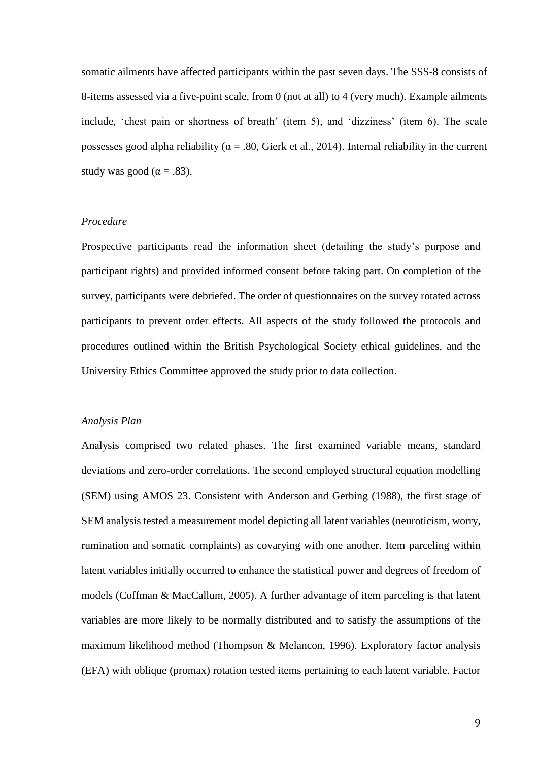somatic ailments have affected participants within the past seven days. The SSS-8 consists of 8-items assessed via a five-point scale, from 0 (not at all) to 4 (very much). Example ailments include, 'chest pain or shortness of breath' (item 5), and 'dizziness' (item 6). The scale possesses good alpha reliability ( $\alpha = .80$ , Gierk et al., 2014). Internal reliability in the current study was good ( $\alpha = .83$ ).

## *Procedure*

Prospective participants read the information sheet (detailing the study's purpose and participant rights) and provided informed consent before taking part. On completion of the survey, participants were debriefed. The order of questionnaires on the survey rotated across participants to prevent order effects. All aspects of the study followed the protocols and procedures outlined within the British Psychological Society ethical guidelines, and the University Ethics Committee approved the study prior to data collection.

## *Analysis Plan*

Analysis comprised two related phases. The first examined variable means, standard deviations and zero-order correlations. The second employed structural equation modelling (SEM) using AMOS 23. Consistent with Anderson and Gerbing (1988), the first stage of SEM analysis tested a measurement model depicting all latent variables (neuroticism, worry, rumination and somatic complaints) as covarying with one another. Item parceling within latent variables initially occurred to enhance the statistical power and degrees of freedom of models (Coffman & MacCallum, 2005). A further advantage of item parceling is that latent variables are more likely to be normally distributed and to satisfy the assumptions of the maximum likelihood method (Thompson & Melancon, 1996). Exploratory factor analysis (EFA) with oblique (promax) rotation tested items pertaining to each latent variable. Factor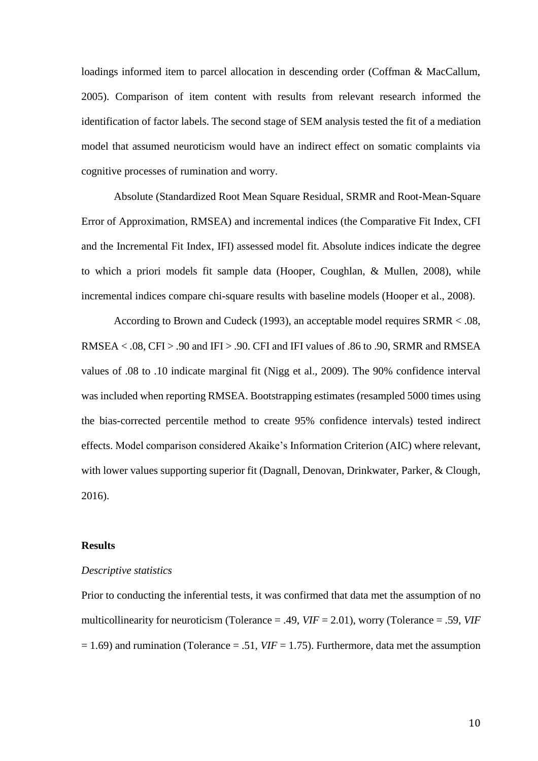loadings informed item to parcel allocation in descending order (Coffman & MacCallum, 2005). Comparison of item content with results from relevant research informed the identification of factor labels. The second stage of SEM analysis tested the fit of a mediation model that assumed neuroticism would have an indirect effect on somatic complaints via cognitive processes of rumination and worry.

Absolute (Standardized Root Mean Square Residual, SRMR and Root-Mean-Square Error of Approximation, RMSEA) and incremental indices (the Comparative Fit Index, CFI and the Incremental Fit Index, IFI) assessed model fit. Absolute indices indicate the degree to which a priori models fit sample data (Hooper, Coughlan, & Mullen, 2008), while incremental indices compare chi-square results with baseline models (Hooper et al., 2008).

According to Brown and Cudeck (1993), an acceptable model requires SRMR < .08, RMSEA < .08, CFI > .90 and IFI > .90. CFI and IFI values of .86 to .90, SRMR and RMSEA values of .08 to .10 indicate marginal fit (Nigg et al., 2009). The 90% confidence interval was included when reporting RMSEA. Bootstrapping estimates (resampled 5000 times using the bias-corrected percentile method to create 95% confidence intervals) tested indirect effects. Model comparison considered Akaike's Information Criterion (AIC) where relevant, with lower values supporting superior fit (Dagnall, Denovan, Drinkwater, Parker, & Clough, 2016).

#### **Results**

### *Descriptive statistics*

Prior to conducting the inferential tests, it was confirmed that data met the assumption of no multicollinearity for neuroticism (Tolerance = .49, *VIF* = 2.01), worry (Tolerance = .59, *VIF*  $= 1.69$ ) and rumination (Tolerance  $= .51$ , *VIF*  $= 1.75$ ). Furthermore, data met the assumption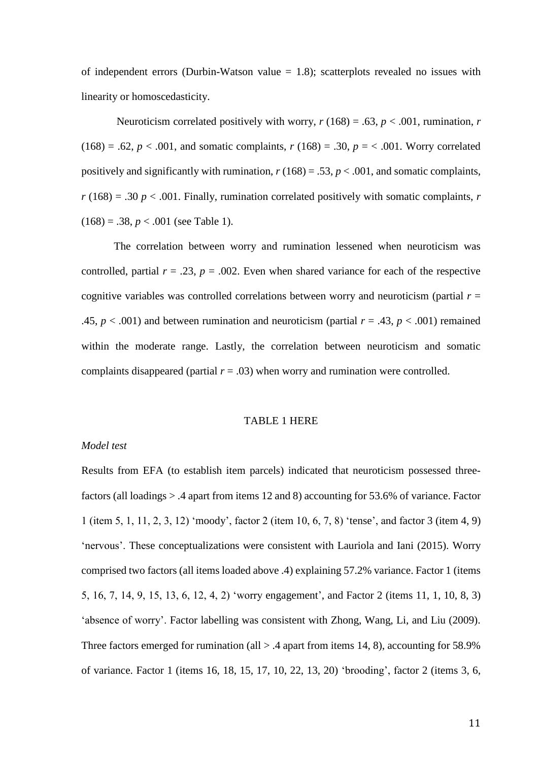of independent errors (Durbin-Watson value  $= 1.8$ ); scatterplots revealed no issues with linearity or homoscedasticity.

Neuroticism correlated positively with worry,  $r(168) = .63$ ,  $p < .001$ , rumination, *r*  $(168) = .62, p < .001$ , and somatic complaints,  $r(168) = .30, p = < .001$ . Worry correlated positively and significantly with rumination,  $r(168) = .53$ ,  $p < .001$ , and somatic complaints,  $r(168) = .30 p < .001$ . Finally, rumination correlated positively with somatic complaints, *r*  $(168) = .38, p < .001$  (see Table 1).

The correlation between worry and rumination lessened when neuroticism was controlled, partial  $r = .23$ ,  $p = .002$ . Even when shared variance for each of the respective cognitive variables was controlled correlations between worry and neuroticism (partial  $r =$ .45,  $p < .001$ ) and between rumination and neuroticism (partial  $r = .43$ ,  $p < .001$ ) remained within the moderate range. Lastly, the correlation between neuroticism and somatic complaints disappeared (partial  $r = .03$ ) when worry and rumination were controlled.

### TABLE 1 HERE

# *Model test*

Results from EFA (to establish item parcels) indicated that neuroticism possessed threefactors (all loadings > .4 apart from items 12 and 8) accounting for 53.6% of variance. Factor 1 (item 5, 1, 11, 2, 3, 12) 'moody', factor 2 (item 10, 6, 7, 8) 'tense', and factor 3 (item 4, 9) 'nervous'. These conceptualizations were consistent with Lauriola and Iani (2015). Worry comprised two factors (all items loaded above .4) explaining 57.2% variance. Factor 1 (items 5, 16, 7, 14, 9, 15, 13, 6, 12, 4, 2) 'worry engagement', and Factor 2 (items 11, 1, 10, 8, 3) 'absence of worry'. Factor labelling was consistent with Zhong, Wang, Li, and Liu (2009). Three factors emerged for rumination (all  $> .4$  apart from items 14, 8), accounting for 58.9% of variance. Factor 1 (items 16, 18, 15, 17, 10, 22, 13, 20) 'brooding', factor 2 (items 3, 6,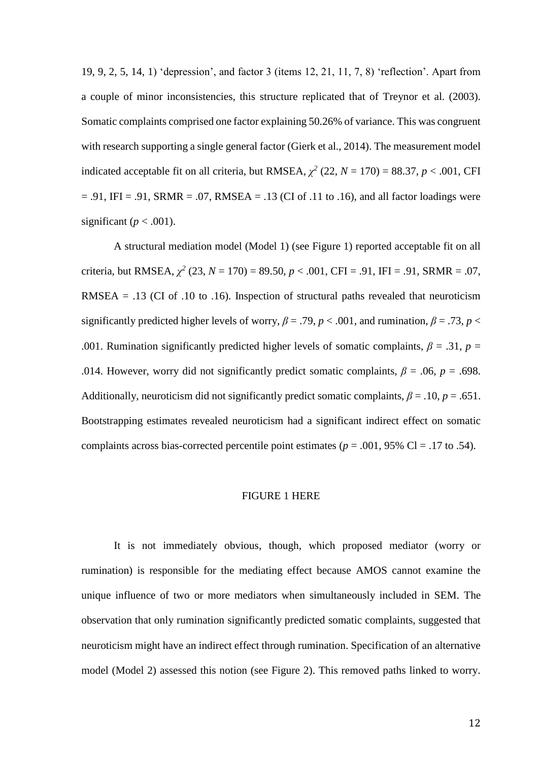19, 9, 2, 5, 14, 1) 'depression', and factor 3 (items 12, 21, 11, 7, 8) 'reflection'. Apart from a couple of minor inconsistencies, this structure replicated that of Treynor et al. (2003). Somatic complaints comprised one factor explaining 50.26% of variance. This was congruent with research supporting a single general factor (Gierk et al., 2014). The measurement model indicated acceptable fit on all criteria, but RMSEA,  $\chi^2$  (22,  $N = 170$ ) = 88.37,  $p < .001$ , CFI  $= .91$ , IFI  $= .91$ , SRMR  $= .07$ , RMSEA  $= .13$  (CI of .11 to .16), and all factor loadings were significant ( $p < .001$ ).

A structural mediation model (Model 1) (see Figure 1) reported acceptable fit on all criteria, but RMSEA,  $\chi^2$  (23,  $N = 170$ ) = 89.50,  $p < .001$ , CFI = .91, IFI = .91, SRMR = .07, RMSEA =  $.13$  (CI of  $.10$  to  $.16$ ). Inspection of structural paths revealed that neuroticism significantly predicted higher levels of worry,  $\beta = .79$ ,  $p < .001$ , and rumination,  $\beta = .73$ ,  $p <$ .001. Rumination significantly predicted higher levels of somatic complaints,  $\beta = .31$ ,  $p =$ .014. However, worry did not significantly predict somatic complaints,  $\beta = .06$ ,  $p = .698$ . Additionally, neuroticism did not significantly predict somatic complaints,  $\beta = .10$ ,  $p = .651$ . Bootstrapping estimates revealed neuroticism had a significant indirect effect on somatic complaints across bias-corrected percentile point estimates (*p* = .001, 95% Cl = .17 to .54).

### FIGURE 1 HERE

It is not immediately obvious, though, which proposed mediator (worry or rumination) is responsible for the mediating effect because AMOS cannot examine the unique influence of two or more mediators when simultaneously included in SEM. The observation that only rumination significantly predicted somatic complaints, suggested that neuroticism might have an indirect effect through rumination. Specification of an alternative model (Model 2) assessed this notion (see Figure 2). This removed paths linked to worry.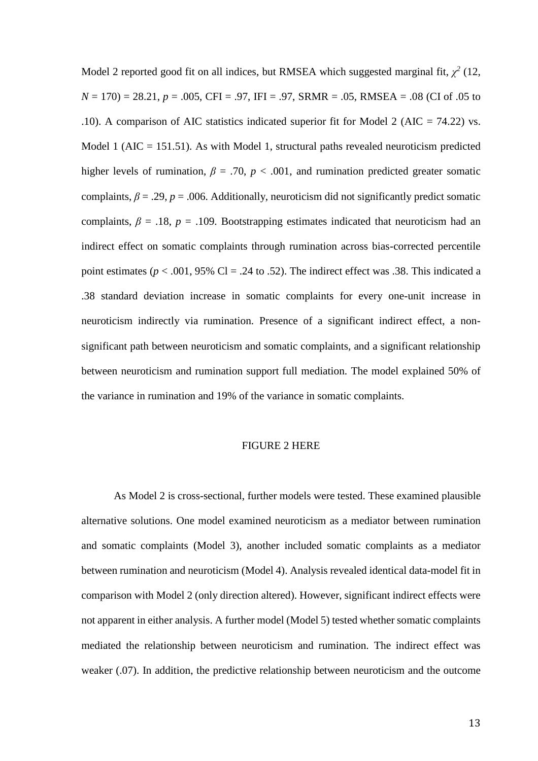Model 2 reported good fit on all indices, but RMSEA which suggested marginal fit,  $\chi^2$  (12, *N* = 170) = 28.21, *p* = .005, CFI = .97, IFI = .97, SRMR = .05, RMSEA = .08 (CI of .05 to .10). A comparison of AIC statistics indicated superior fit for Model 2 (AIC = 74.22) vs. Model 1 ( $AIC = 151.51$ ). As with Model 1, structural paths revealed neuroticism predicted higher levels of rumination,  $\beta = .70$ ,  $p < .001$ , and rumination predicted greater somatic complaints,  $\beta = .29$ ,  $p = .006$ . Additionally, neuroticism did not significantly predict somatic complaints,  $\beta = .18$ ,  $p = .109$ . Bootstrapping estimates indicated that neuroticism had an indirect effect on somatic complaints through rumination across bias-corrected percentile point estimates ( $p < .001$ , 95% Cl = .24 to .52). The indirect effect was .38. This indicated a .38 standard deviation increase in somatic complaints for every one-unit increase in neuroticism indirectly via rumination. Presence of a significant indirect effect, a nonsignificant path between neuroticism and somatic complaints, and a significant relationship between neuroticism and rumination support full mediation. The model explained 50% of the variance in rumination and 19% of the variance in somatic complaints.

# FIGURE 2 HERE

As Model 2 is cross-sectional, further models were tested. These examined plausible alternative solutions. One model examined neuroticism as a mediator between rumination and somatic complaints (Model 3), another included somatic complaints as a mediator between rumination and neuroticism (Model 4). Analysis revealed identical data-model fit in comparison with Model 2 (only direction altered). However, significant indirect effects were not apparent in either analysis. A further model (Model 5) tested whether somatic complaints mediated the relationship between neuroticism and rumination. The indirect effect was weaker (.07). In addition, the predictive relationship between neuroticism and the outcome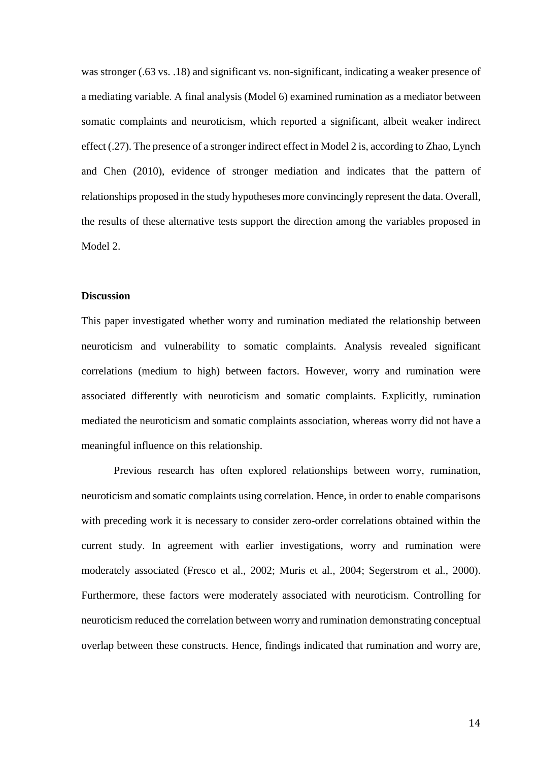was stronger (.63 vs. .18) and significant vs. non-significant, indicating a weaker presence of a mediating variable. A final analysis (Model 6) examined rumination as a mediator between somatic complaints and neuroticism, which reported a significant, albeit weaker indirect effect (.27). The presence of a stronger indirect effect in Model 2 is, according to Zhao, Lynch and Chen (2010), evidence of stronger mediation and indicates that the pattern of relationships proposed in the study hypotheses more convincingly represent the data. Overall, the results of these alternative tests support the direction among the variables proposed in Model 2.

### **Discussion**

This paper investigated whether worry and rumination mediated the relationship between neuroticism and vulnerability to somatic complaints. Analysis revealed significant correlations (medium to high) between factors. However, worry and rumination were associated differently with neuroticism and somatic complaints. Explicitly, rumination mediated the neuroticism and somatic complaints association, whereas worry did not have a meaningful influence on this relationship.

Previous research has often explored relationships between worry, rumination, neuroticism and somatic complaints using correlation. Hence, in order to enable comparisons with preceding work it is necessary to consider zero-order correlations obtained within the current study. In agreement with earlier investigations, worry and rumination were moderately associated (Fresco et al., 2002; Muris et al., 2004; Segerstrom et al., 2000). Furthermore, these factors were moderately associated with neuroticism. Controlling for neuroticism reduced the correlation between worry and rumination demonstrating conceptual overlap between these constructs. Hence, findings indicated that rumination and worry are,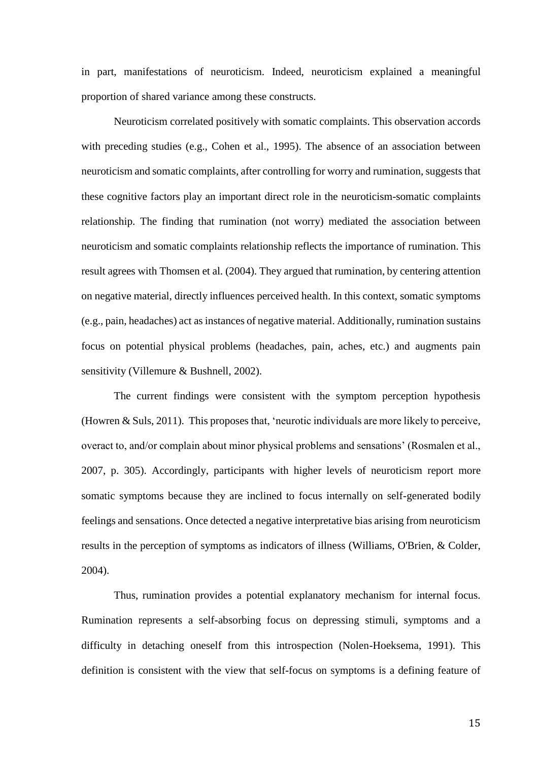in part, manifestations of neuroticism. Indeed, neuroticism explained a meaningful proportion of shared variance among these constructs.

Neuroticism correlated positively with somatic complaints. This observation accords with preceding studies (e.g., Cohen et al., 1995). The absence of an association between neuroticism and somatic complaints, after controlling for worry and rumination, suggests that these cognitive factors play an important direct role in the neuroticism-somatic complaints relationship. The finding that rumination (not worry) mediated the association between neuroticism and somatic complaints relationship reflects the importance of rumination. This result agrees with Thomsen et al. (2004). They argued that rumination, by centering attention on negative material, directly influences perceived health. In this context, somatic symptoms (e.g., pain, headaches) act as instances of negative material. Additionally, rumination sustains focus on potential physical problems (headaches, pain, aches, etc.) and augments pain sensitivity (Villemure & Bushnell, 2002).

The current findings were consistent with the symptom perception hypothesis (Howren & Suls, 2011). This proposes that, 'neurotic individuals are more likely to perceive, overact to, and/or complain about minor physical problems and sensations' (Rosmalen et al., 2007, p. 305). Accordingly, participants with higher levels of neuroticism report more somatic symptoms because they are inclined to focus internally on self-generated bodily feelings and sensations. Once detected a negative interpretative bias arising from neuroticism results in the perception of symptoms as indicators of illness (Williams, O'Brien, & Colder, 2004).

Thus, rumination provides a potential explanatory mechanism for internal focus. Rumination represents a self-absorbing focus on depressing stimuli, symptoms and a difficulty in detaching oneself from this introspection (Nolen-Hoeksema, 1991). This definition is consistent with the view that self-focus on symptoms is a defining feature of

15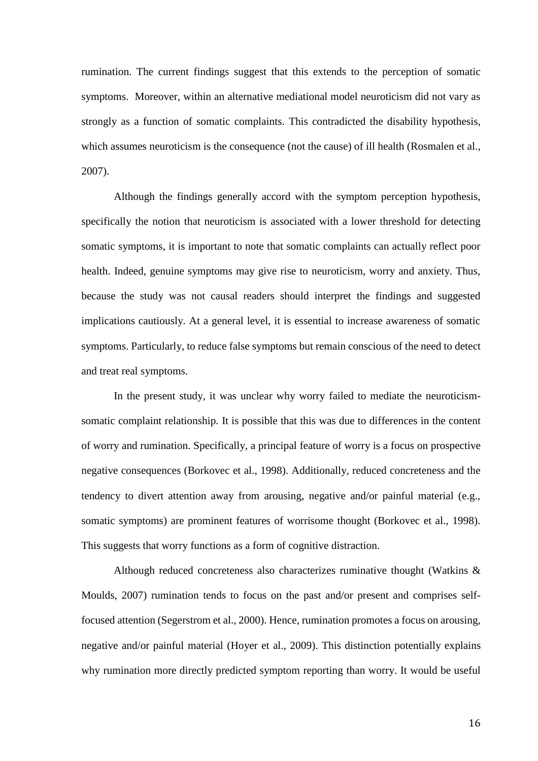rumination. The current findings suggest that this extends to the perception of somatic symptoms. Moreover, within an alternative mediational model neuroticism did not vary as strongly as a function of somatic complaints. This contradicted the disability hypothesis, which assumes neuroticism is the consequence (not the cause) of ill health (Rosmalen et al., 2007).

Although the findings generally accord with the symptom perception hypothesis, specifically the notion that neuroticism is associated with a lower threshold for detecting somatic symptoms, it is important to note that somatic complaints can actually reflect poor health. Indeed, genuine symptoms may give rise to neuroticism, worry and anxiety. Thus, because the study was not causal readers should interpret the findings and suggested implications cautiously. At a general level, it is essential to increase awareness of somatic symptoms. Particularly, to reduce false symptoms but remain conscious of the need to detect and treat real symptoms.

In the present study, it was unclear why worry failed to mediate the neuroticismsomatic complaint relationship. It is possible that this was due to differences in the content of worry and rumination. Specifically, a principal feature of worry is a focus on prospective negative consequences (Borkovec et al., 1998). Additionally, reduced concreteness and the tendency to divert attention away from arousing, negative and/or painful material (e.g., somatic symptoms) are prominent features of worrisome thought (Borkovec et al., 1998). This suggests that worry functions as a form of cognitive distraction.

Although reduced concreteness also characterizes ruminative thought (Watkins & Moulds, 2007) rumination tends to focus on the past and/or present and comprises selffocused attention (Segerstrom et al., 2000). Hence, rumination promotes a focus on arousing, negative and/or painful material (Hoyer et al., 2009). This distinction potentially explains why rumination more directly predicted symptom reporting than worry. It would be useful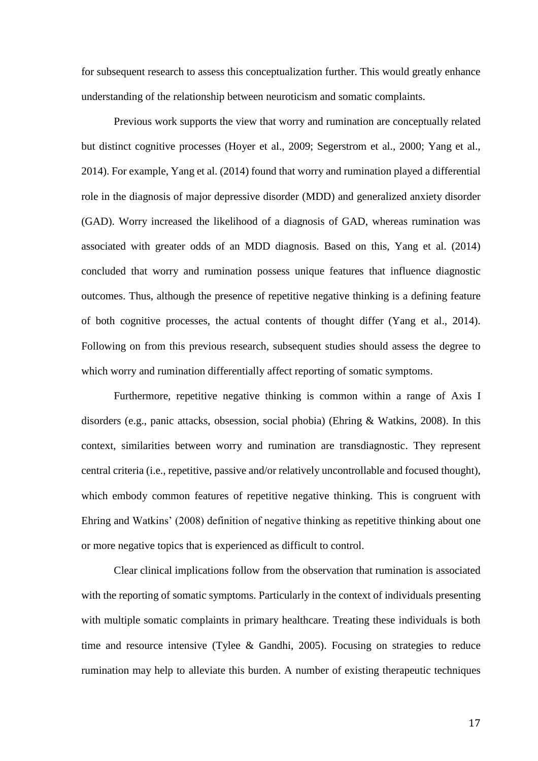for subsequent research to assess this conceptualization further. This would greatly enhance understanding of the relationship between neuroticism and somatic complaints.

Previous work supports the view that worry and rumination are conceptually related but distinct cognitive processes (Hoyer et al., 2009; Segerstrom et al., 2000; Yang et al., 2014). For example, Yang et al. (2014) found that worry and rumination played a differential role in the diagnosis of major depressive disorder (MDD) and generalized anxiety disorder (GAD). Worry increased the likelihood of a diagnosis of GAD, whereas rumination was associated with greater odds of an MDD diagnosis. Based on this, Yang et al. (2014) concluded that worry and rumination possess unique features that influence diagnostic outcomes. Thus, although the presence of repetitive negative thinking is a defining feature of both cognitive processes, the actual contents of thought differ (Yang et al., 2014). Following on from this previous research, subsequent studies should assess the degree to which worry and rumination differentially affect reporting of somatic symptoms.

Furthermore, repetitive negative thinking is common within a range of Axis I disorders (e.g., panic attacks, obsession, social phobia) (Ehring & Watkins, 2008). In this context, similarities between worry and rumination are transdiagnostic. They represent central criteria (i.e., repetitive, passive and/or relatively uncontrollable and focused thought), which embody common features of repetitive negative thinking. This is congruent with Ehring and Watkins' (2008) definition of negative thinking as repetitive thinking about one or more negative topics that is experienced as difficult to control.

Clear clinical implications follow from the observation that rumination is associated with the reporting of somatic symptoms. Particularly in the context of individuals presenting with multiple somatic complaints in primary healthcare. Treating these individuals is both time and resource intensive (Tylee & Gandhi, 2005). Focusing on strategies to reduce rumination may help to alleviate this burden. A number of existing therapeutic techniques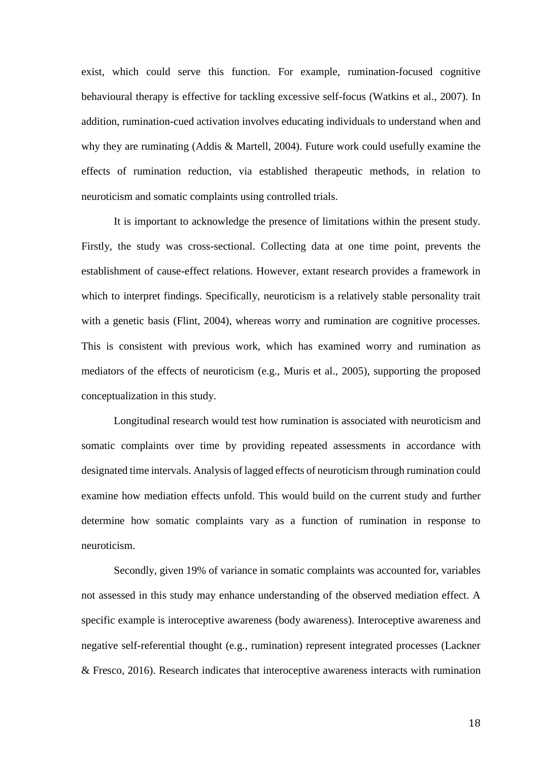exist, which could serve this function. For example, rumination-focused cognitive behavioural therapy is effective for tackling excessive self-focus (Watkins et al., 2007). In addition, rumination-cued activation involves educating individuals to understand when and why they are ruminating (Addis & Martell, 2004). Future work could usefully examine the effects of rumination reduction, via established therapeutic methods, in relation to neuroticism and somatic complaints using controlled trials.

It is important to acknowledge the presence of limitations within the present study. Firstly, the study was cross-sectional. Collecting data at one time point, prevents the establishment of cause-effect relations. However, extant research provides a framework in which to interpret findings. Specifically, neuroticism is a relatively stable personality trait with a genetic basis (Flint, 2004), whereas worry and rumination are cognitive processes. This is consistent with previous work, which has examined worry and rumination as mediators of the effects of neuroticism (e.g., Muris et al., 2005), supporting the proposed conceptualization in this study.

Longitudinal research would test how rumination is associated with neuroticism and somatic complaints over time by providing repeated assessments in accordance with designated time intervals. Analysis of lagged effects of neuroticism through rumination could examine how mediation effects unfold. This would build on the current study and further determine how somatic complaints vary as a function of rumination in response to neuroticism.

Secondly, given 19% of variance in somatic complaints was accounted for, variables not assessed in this study may enhance understanding of the observed mediation effect. A specific example is interoceptive awareness (body awareness). Interoceptive awareness and negative self-referential thought (e.g., rumination) represent integrated processes (Lackner & Fresco, 2016). Research indicates that interoceptive awareness interacts with rumination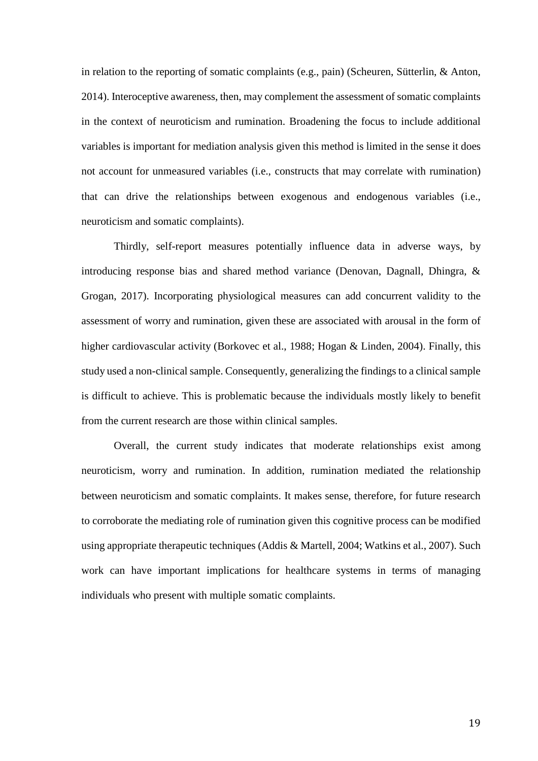in relation to the reporting of somatic complaints (e.g., pain) (Scheuren, Sütterlin, & Anton, 2014). Interoceptive awareness, then, may complement the assessment of somatic complaints in the context of neuroticism and rumination. Broadening the focus to include additional variables is important for mediation analysis given this method is limited in the sense it does not account for unmeasured variables (i.e., constructs that may correlate with rumination) that can drive the relationships between exogenous and endogenous variables (i.e., neuroticism and somatic complaints).

Thirdly, self-report measures potentially influence data in adverse ways, by introducing response bias and shared method variance (Denovan, Dagnall, Dhingra, & Grogan, 2017). Incorporating physiological measures can add concurrent validity to the assessment of worry and rumination, given these are associated with arousal in the form of higher cardiovascular activity (Borkovec et al., 1988; Hogan & Linden, 2004). Finally, this study used a non-clinical sample. Consequently, generalizing the findings to a clinical sample is difficult to achieve. This is problematic because the individuals mostly likely to benefit from the current research are those within clinical samples.

Overall, the current study indicates that moderate relationships exist among neuroticism, worry and rumination. In addition, rumination mediated the relationship between neuroticism and somatic complaints. It makes sense, therefore, for future research to corroborate the mediating role of rumination given this cognitive process can be modified using appropriate therapeutic techniques (Addis & Martell, 2004; Watkins et al., 2007). Such work can have important implications for healthcare systems in terms of managing individuals who present with multiple somatic complaints.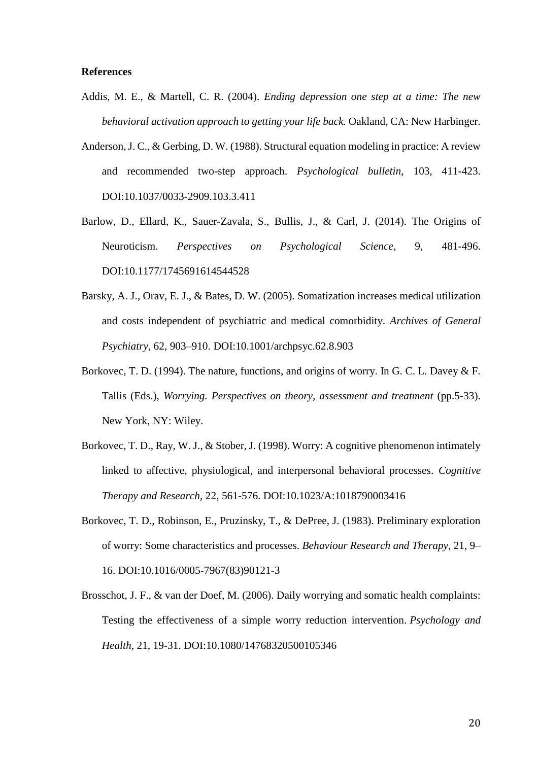### **References**

- Addis, M. E., & Martell, C. R. (2004). *Ending depression one step at a time: The new behavioral activation approach to getting your life back.* Oakland, CA: New Harbinger.
- Anderson, J. C., & Gerbing, D. W. (1988). Structural equation modeling in practice: A review and recommended two-step approach. *Psychological bulletin*, 103, 411-423. DOI:10.1037/0033-2909.103.3.411
- Barlow, D., Ellard, K., Sauer-Zavala, S., Bullis, J., & Carl, J. (2014). The Origins of Neuroticism. *Perspectives on Psychological Science*, 9, 481-496. DOI:10.1177/1745691614544528
- Barsky, A. J., Orav, E. J., & Bates, D. W. (2005). Somatization increases medical utilization and costs independent of psychiatric and medical comorbidity. *Archives of General Psychiatry*, 62, 903–910. DOI:10.1001/archpsyc.62.8.903
- Borkovec, T. D. (1994). The nature, functions, and origins of worry. In G. C. L. Davey & F. Tallis (Eds.), *Worrying. Perspectives on theory, assessment and treatment* (pp.5-33). New York, NY: Wiley.
- Borkovec, T. D., Ray, W. J., & Stober, J. (1998). Worry: A cognitive phenomenon intimately linked to affective, physiological, and interpersonal behavioral processes. *Cognitive Therapy and Research*, 22, 561-576. DOI:10.1023/A:1018790003416
- Borkovec, T. D., Robinson, E., Pruzinsky, T., & DePree, J. (1983). Preliminary exploration of worry: Some characteristics and processes. *Behaviour Research and Therapy*, 21, 9– 16. DOI:10.1016/0005-7967(83)90121-3
- Brosschot, J. F., & van der Doef, M. (2006). Daily worrying and somatic health complaints: Testing the effectiveness of a simple worry reduction intervention. *Psychology and Health*, 21, 19-31. DOI:10.1080/14768320500105346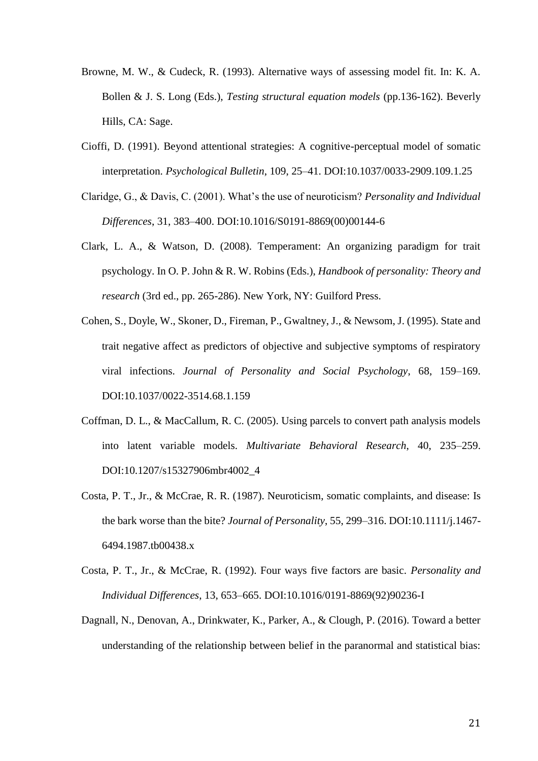- Browne, M. W., & Cudeck, R. (1993). Alternative ways of assessing model fit. In: K. A. Bollen & J. S. Long (Eds.), *Testing structural equation models* (pp.136-162). Beverly Hills, CA: Sage.
- Cioffi, D. (1991). Beyond attentional strategies: A cognitive-perceptual model of somatic interpretation. *Psychological Bulletin*, 109, 25–41. DOI:10.1037/0033-2909.109.1.25
- Claridge, G., & Davis, C. (2001). What's the use of neuroticism? *Personality and Individual Differences*, 31, 383–400. DOI:10.1016/S0191-8869(00)00144-6
- Clark, L. A., & Watson, D. (2008). Temperament: An organizing paradigm for trait psychology. In O. P. John & R. W. Robins (Eds.), *Handbook of personality: Theory and research* (3rd ed., pp. 265-286). New York, NY: Guilford Press.
- Cohen, S., Doyle, W., Skoner, D., Fireman, P., Gwaltney, J., & Newsom, J. (1995). State and trait negative affect as predictors of objective and subjective symptoms of respiratory viral infections. *Journal of Personality and Social Psychology*, 68, 159–169. DOI:10.1037/0022-3514.68.1.159
- Coffman, D. L., & MacCallum, R. C. (2005). Using parcels to convert path analysis models into latent variable models. *Multivariate Behavioral Research*, 40, 235–259. DOI:10.1207/s15327906mbr4002\_4
- Costa, P. T., Jr., & McCrae, R. R. (1987). Neuroticism, somatic complaints, and disease: Is the bark worse than the bite? *Journal of Personality*, 55, 299–316. DOI:10.1111/j.1467- 6494.1987.tb00438.x
- Costa, P. T., Jr., & McCrae, R. (1992). Four ways five factors are basic. *Personality and Individual Differences*, 13, 653–665. DOI:10.1016/0191-8869(92)90236-I
- Dagnall, N., Denovan, A., Drinkwater, K., Parker, A., & Clough, P. (2016). Toward a better understanding of the relationship between belief in the paranormal and statistical bias: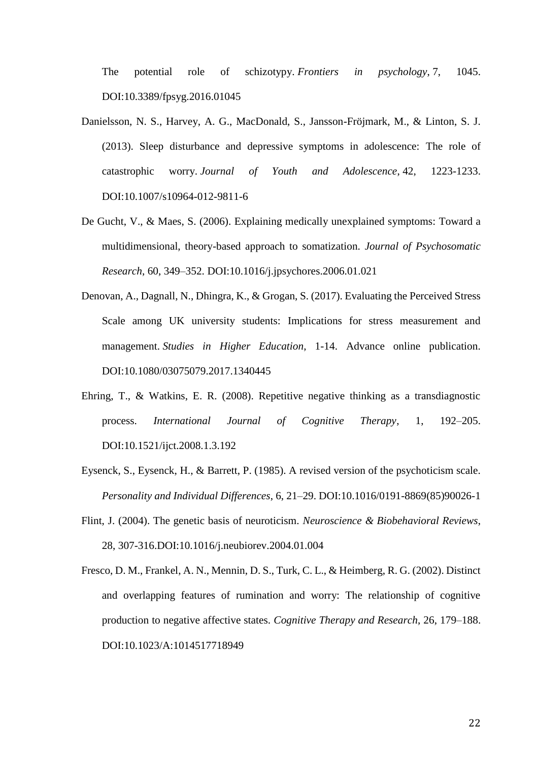The potential role of schizotypy. *Frontiers in psychology*, 7, 1045. DOI:10.3389/fpsyg.2016.01045

- Danielsson, N. S., Harvey, A. G., MacDonald, S., Jansson-Fröjmark, M., & Linton, S. J. (2013). Sleep disturbance and depressive symptoms in adolescence: The role of catastrophic worry. *Journal of Youth and Adolescence*, 42, 1223-1233. DOI:10.1007/s10964-012-9811-6
- De Gucht, V., & Maes, S. (2006). Explaining medically unexplained symptoms: Toward a multidimensional, theory-based approach to somatization. *Journal of Psychosomatic Research*, 60, 349–352. DOI:10.1016/j.jpsychores.2006.01.021
- Denovan, A., Dagnall, N., Dhingra, K., & Grogan, S. (2017). Evaluating the Perceived Stress Scale among UK university students: Implications for stress measurement and management. *Studies in Higher Education*, 1-14. Advance online publication. DOI:10.1080/03075079.2017.1340445
- Ehring, T., & Watkins, E. R. (2008). Repetitive negative thinking as a transdiagnostic process. *International Journal of Cognitive Therapy*, 1, 192–205. DOI:10.1521/ijct.2008.1.3.192
- Eysenck, S., Eysenck, H., & Barrett, P. (1985). A revised version of the psychoticism scale. *Personality and Individual Differences*, 6, 21–29. DOI:10.1016/0191-8869(85)90026-1
- Flint, J. (2004). The genetic basis of neuroticism. *Neuroscience & Biobehavioral Reviews*, 28, 307-316.DOI:10.1016/j.neubiorev.2004.01.004
- Fresco, D. M., Frankel, A. N., Mennin, D. S., Turk, C. L., & Heimberg, R. G. (2002). Distinct and overlapping features of rumination and worry: The relationship of cognitive production to negative affective states. *Cognitive Therapy and Research*, 26, 179–188. DOI:10.1023/A:1014517718949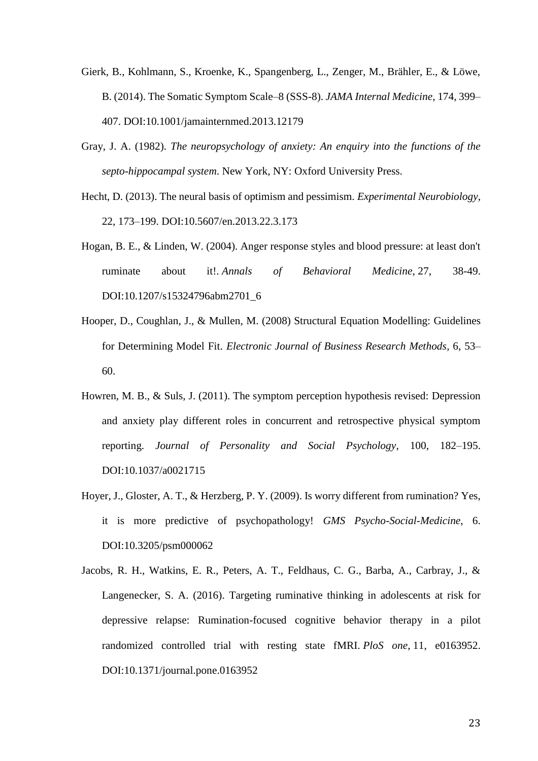- Gierk, B., Kohlmann, S., Kroenke, K., Spangenberg, L., Zenger, M., Brähler, E., & Löwe, B. (2014). The Somatic Symptom Scale–8 (SSS-8). *JAMA Internal Medicine*, 174, 399– 407. DOI:10.1001/jamainternmed.2013.12179
- Gray, J. A. (1982). *The neuropsychology of anxiety: An enquiry into the functions of the septo-hippocampal system*. New York, NY: Oxford University Press.
- Hecht, D. (2013). The neural basis of optimism and pessimism. *Experimental Neurobiology*, 22, 173–199. DOI:10.5607/en.2013.22.3.173
- Hogan, B. E., & Linden, W. (2004). Anger response styles and blood pressure: at least don't ruminate about it!. *Annals of Behavioral Medicine*, 27, 38-49. DOI:10.1207/s15324796abm2701\_6
- Hooper, D., Coughlan, J., & Mullen, M. (2008) Structural Equation Modelling: Guidelines for Determining Model Fit. *Electronic Journal of Business Research Methods*, 6, 53– 60.
- Howren, M. B., & Suls, J. (2011). The symptom perception hypothesis revised: Depression and anxiety play different roles in concurrent and retrospective physical symptom reporting. *Journal of Personality and Social Psychology*, 100, 182–195. DOI:10.1037/a0021715
- Hoyer, J., Gloster, A. T., & Herzberg, P. Y. (2009). Is worry different from rumination? Yes, it is more predictive of psychopathology! *GMS Psycho-Social-Medicine*, 6. DOI:10.3205/psm000062
- Jacobs, R. H., Watkins, E. R., Peters, A. T., Feldhaus, C. G., Barba, A., Carbray, J., & Langenecker, S. A. (2016). Targeting ruminative thinking in adolescents at risk for depressive relapse: Rumination-focused cognitive behavior therapy in a pilot randomized controlled trial with resting state fMRI. *PloS one*, 11, e0163952. DOI:10.1371/journal.pone.0163952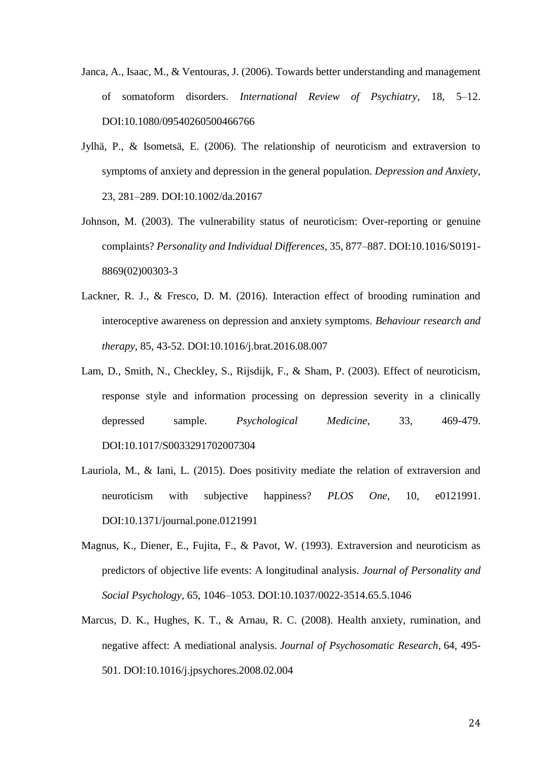- Janca, A., Isaac, M., & Ventouras, J. (2006). Towards better understanding and management of somatoform disorders. *International Review of Psychiatry*, 18, 5–12. DOI:10.1080/09540260500466766
- Jylhä, P., & Isometsä, E. (2006). The relationship of neuroticism and extraversion to symptoms of anxiety and depression in the general population. *Depression and Anxiety*, 23, 281–289. DOI:10.1002/da.20167
- Johnson, M. (2003). The vulnerability status of neuroticism: Over-reporting or genuine complaints? *Personality and Individual Differences*, 35, 877–887. DOI:10.1016/S0191- 8869(02)00303-3
- Lackner, R. J., & Fresco, D. M. (2016). Interaction effect of brooding rumination and interoceptive awareness on depression and anxiety symptoms. *Behaviour research and therapy*, 85, 43-52. DOI:10.1016/j.brat.2016.08.007
- Lam, D., Smith, N., Checkley, S., Rijsdijk, F., & Sham, P. (2003). Effect of neuroticism, response style and information processing on depression severity in a clinically depressed sample. *Psychological Medicine*, 33, 469-479. DOI:10.1017/S0033291702007304
- Lauriola, M., & Iani, L. (2015). Does positivity mediate the relation of extraversion and neuroticism with subjective happiness? *PLOS One*, 10, e0121991. DOI:10.1371/journal.pone.0121991
- Magnus, K., Diener, E., Fujita, F., & Pavot, W. (1993). Extraversion and neuroticism as predictors of objective life events: A longitudinal analysis. *Journal of Personality and Social Psychology*, 65, 1046–1053. DOI:10.1037/0022-3514.65.5.1046
- Marcus, D. K., Hughes, K. T., & Arnau, R. C. (2008). Health anxiety, rumination, and negative affect: A mediational analysis. *Journal of Psychosomatic Research*, 64, 495- 501. DOI:10.1016/j.jpsychores.2008.02.004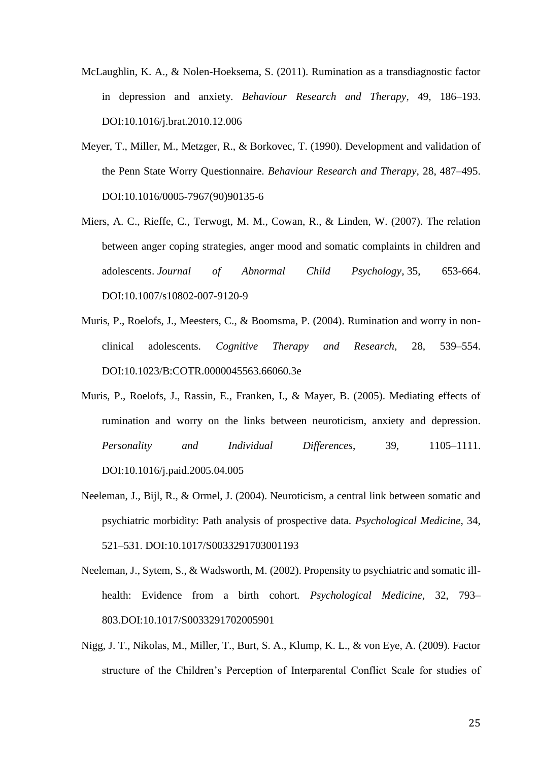- McLaughlin, K. A., & Nolen-Hoeksema, S. (2011). Rumination as a transdiagnostic factor in depression and anxiety. *Behaviour Research and Therapy*, 49, 186–193. DOI:10.1016/j.brat.2010.12.006
- Meyer, T., Miller, M., Metzger, R., & Borkovec, T. (1990). Development and validation of the Penn State Worry Questionnaire. *Behaviour Research and Therapy*, 28, 487–495. DOI:10.1016/0005-7967(90)90135-6
- Miers, A. C., Rieffe, C., Terwogt, M. M., Cowan, R., & Linden, W. (2007). The relation between anger coping strategies, anger mood and somatic complaints in children and adolescents. *Journal of Abnormal Child Psychology*, 35, 653-664. DOI:10.1007/s10802-007-9120-9
- Muris, P., Roelofs, J., Meesters, C., & Boomsma, P. (2004). Rumination and worry in nonclinical adolescents. *Cognitive Therapy and Research*, 28, 539–554. DOI:10.1023/B:COTR.0000045563.66060.3e
- Muris, P., Roelofs, J., Rassin, E., Franken, I., & Mayer, B. (2005). Mediating effects of rumination and worry on the links between neuroticism, anxiety and depression. *Personality and Individual Differences*, 39, 1105–1111. DOI:10.1016/j.paid.2005.04.005
- Neeleman, J., Bijl, R., & Ormel, J. (2004). Neuroticism, a central link between somatic and psychiatric morbidity: Path analysis of prospective data. *Psychological Medicine*, 34, 521–531. DOI:10.1017/S0033291703001193
- Neeleman, J., Sytem, S., & Wadsworth, M. (2002). Propensity to psychiatric and somatic illhealth: Evidence from a birth cohort. *Psychological Medicine*, 32, 793– 803.DOI:10.1017/S0033291702005901
- Nigg, J. T., Nikolas, M., Miller, T., Burt, S. A., Klump, K. L., & von Eye, A. (2009). Factor structure of the Children's Perception of Interparental Conflict Scale for studies of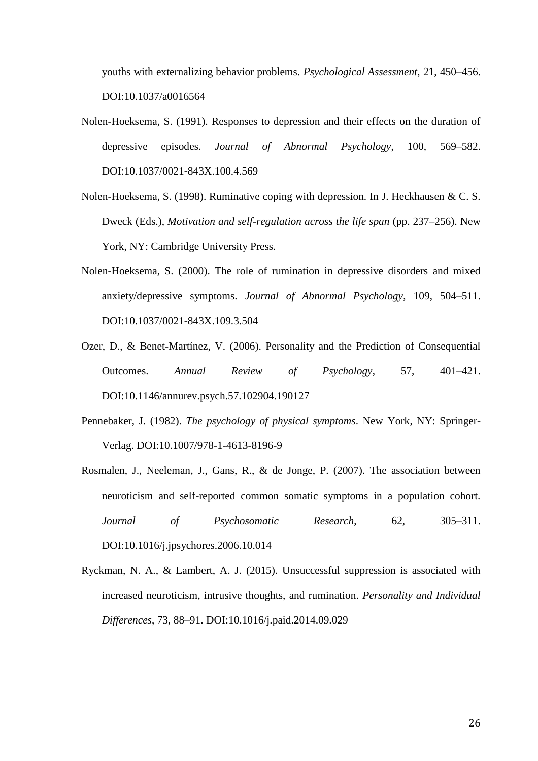youths with externalizing behavior problems. *Psychological Assessment*, 21, 450–456. DOI:10.1037/a0016564

- Nolen-Hoeksema, S. (1991). Responses to depression and their effects on the duration of depressive episodes. *Journal of Abnormal Psychology*, 100, 569–582. DOI:10.1037/0021-843X.100.4.569
- Nolen-Hoeksema, S. (1998). Ruminative coping with depression. In J. Heckhausen & C. S. Dweck (Eds.), *Motivation and self-regulation across the life span* (pp. 237–256). New York, NY: Cambridge University Press.
- Nolen-Hoeksema, S. (2000). The role of rumination in depressive disorders and mixed anxiety/depressive symptoms. *Journal of Abnormal Psychology*, 109, 504–511. DOI:10.1037/0021-843X.109.3.504
- Ozer, D., & Benet-Martínez, V. (2006). Personality and the Prediction of Consequential Outcomes. *Annual Review of Psychology*, 57, 401–421. DOI:10.1146/annurev.psych.57.102904.190127
- Pennebaker, J. (1982). *The psychology of physical symptoms*. New York, NY: Springer-Verlag. DOI:10.1007/978-1-4613-8196-9
- Rosmalen, J., Neeleman, J., Gans, R., & de Jonge, P. (2007). The association between neuroticism and self-reported common somatic symptoms in a population cohort. *Journal of Psychosomatic Research*, 62, 305–311. DOI:10.1016/j.jpsychores.2006.10.014
- Ryckman, N. A., & Lambert, A. J. (2015). Unsuccessful suppression is associated with increased neuroticism, intrusive thoughts, and rumination. *Personality and Individual Differences*, 73, 88–91. DOI:10.1016/j.paid.2014.09.029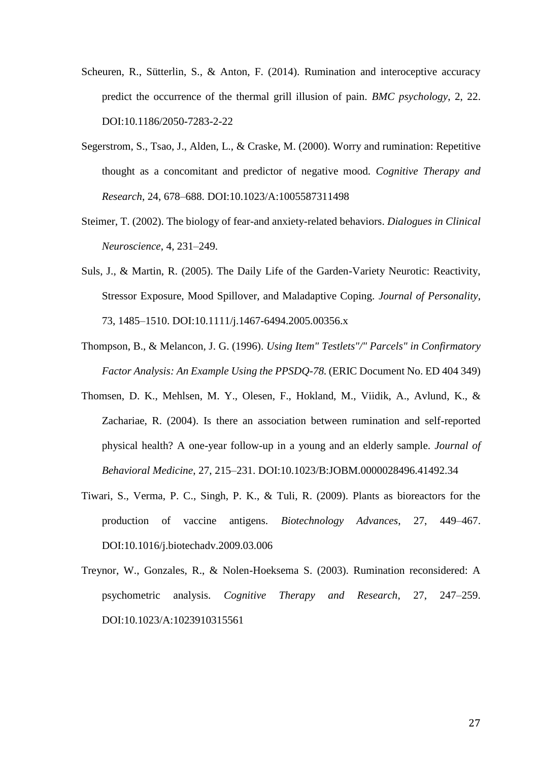- Scheuren, R., Sütterlin, S., & Anton, F. (2014). Rumination and interoceptive accuracy predict the occurrence of the thermal grill illusion of pain. *BMC psychology*, 2, 22. DOI:10.1186/2050-7283-2-22
- Segerstrom, S., Tsao, J., Alden, L., & Craske, M. (2000). Worry and rumination: Repetitive thought as a concomitant and predictor of negative mood. *Cognitive Therapy and Research*, 24, 678–688. DOI:10.1023/A:1005587311498
- Steimer, T. (2002). The biology of fear-and anxiety-related behaviors. *Dialogues in Clinical Neuroscience*, 4, 231–249.
- Suls, J., & Martin, R. (2005). The Daily Life of the Garden-Variety Neurotic: Reactivity, Stressor Exposure, Mood Spillover, and Maladaptive Coping. *Journal of Personality*, 73, 1485–1510. DOI:10.1111/j.1467-6494.2005.00356.x
- Thompson, B., & Melancon, J. G. (1996). *Using Item" Testlets"/" Parcels" in Confirmatory Factor Analysis: An Example Using the PPSDQ-78.* (ERIC Document No. ED 404 349)
- Thomsen, D. K., Mehlsen, M. Y., Olesen, F., Hokland, M., Viidik, A., Avlund, K., & Zachariae, R. (2004). Is there an association between rumination and self-reported physical health? A one-year follow-up in a young and an elderly sample. *Journal of Behavioral Medicine*, 27, 215–231. DOI:10.1023/B:JOBM.0000028496.41492.34
- Tiwari, S., Verma, P. C., Singh, P. K., & Tuli, R. (2009). Plants as bioreactors for the production of vaccine antigens. *Biotechnology Advances*, 27, 449–467. DOI:10.1016/j.biotechadv.2009.03.006
- Treynor, W., Gonzales, R., & Nolen-Hoeksema S. (2003). Rumination reconsidered: A psychometric analysis. *Cognitive Therapy and Research*, 27, 247–259. DOI:10.1023/A:1023910315561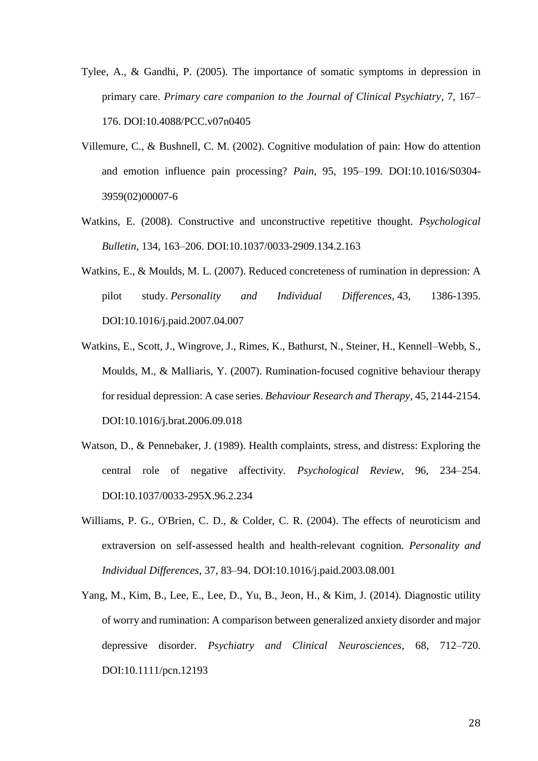- Tylee, A., & Gandhi, P. (2005). The importance of somatic symptoms in depression in primary care. *Primary care companion to the Journal of Clinical Psychiatry*, 7, 167– 176. DOI:10.4088/PCC.v07n0405
- Villemure, C., & Bushnell, C. M. (2002). Cognitive modulation of pain: How do attention and emotion influence pain processing? *Pain*, 95, 195–199. DOI:10.1016/S0304- 3959(02)00007-6
- Watkins, E. (2008). Constructive and unconstructive repetitive thought. *Psychological Bulletin*, 134, 163–206. DOI:10.1037/0033-2909.134.2.163
- Watkins, E., & Moulds, M. L. (2007). Reduced concreteness of rumination in depression: A pilot study. *Personality and Individual Differences*, 43, 1386-1395. DOI:10.1016/j.paid.2007.04.007
- Watkins, E., Scott, J., Wingrove, J., Rimes, K., Bathurst, N., Steiner, H., Kennell–Webb, S., Moulds, M., & Malliaris, Y. (2007). Rumination-focused cognitive behaviour therapy for residual depression: A case series. *Behaviour Research and Therapy*, 45, 2144-2154. DOI:10.1016/j.brat.2006.09.018
- Watson, D., & Pennebaker, J. (1989). Health complaints, stress, and distress: Exploring the central role of negative affectivity. *Psychological Review*, 96, 234–254. DOI:10.1037/0033-295X.96.2.234
- Williams, P. G., O'Brien, C. D., & Colder, C. R. (2004). The effects of neuroticism and extraversion on self-assessed health and health-relevant cognition. *Personality and Individual Differences*, 37, 83–94. DOI:10.1016/j.paid.2003.08.001
- Yang, M., Kim, B., Lee, E., Lee, D., Yu, B., Jeon, H., & Kim, J. (2014). Diagnostic utility of worry and rumination: A comparison between generalized anxiety disorder and major depressive disorder. *Psychiatry and Clinical Neurosciences*, 68, 712–720. DOI:10.1111/pcn.12193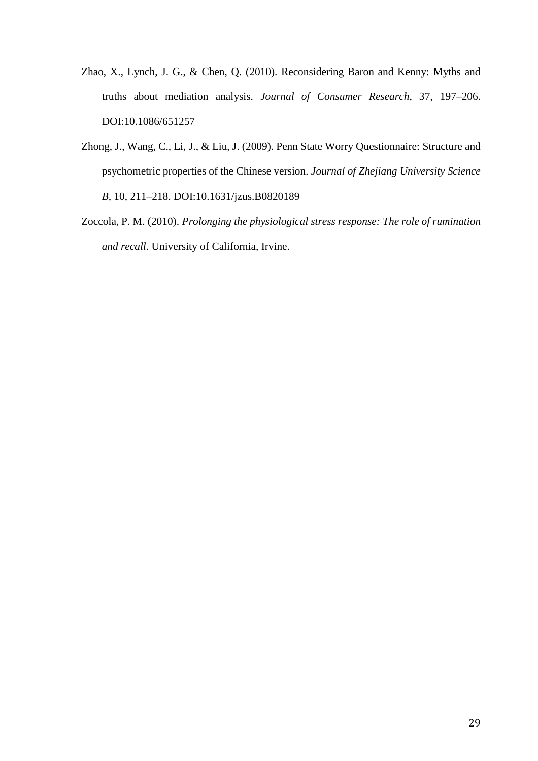- Zhao, X., Lynch, J. G., & Chen, Q. (2010). Reconsidering Baron and Kenny: Myths and truths about mediation analysis. *Journal of Consumer Research*, 37, 197–206. DOI:10.1086/651257
- Zhong, J., Wang, C., Li, J., & Liu, J. (2009). Penn State Worry Questionnaire: Structure and psychometric properties of the Chinese version. *Journal of Zhejiang University Science B*, 10, 211–218. DOI:10.1631/jzus.B0820189
- Zoccola, P. M. (2010). *Prolonging the physiological stress response: The role of rumination and recall*. University of California, Irvine.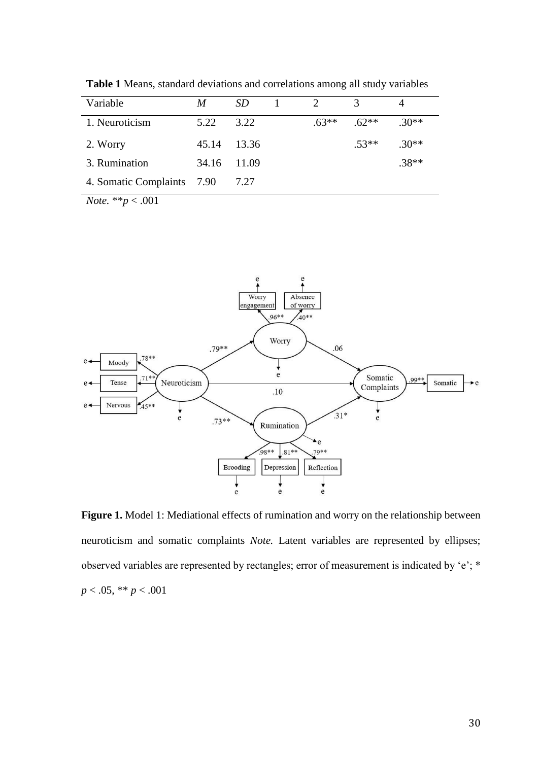| Variable                   | M     | SD.     |         | 3       |         |
|----------------------------|-------|---------|---------|---------|---------|
| 1. Neuroticism             | 5.22  | 3.22    | $.63**$ | $.62**$ | $.30**$ |
| 2. Worry                   | 45.14 | - 13.36 |         | $.53**$ | $.30**$ |
| 3. Rumination              | 34.16 | 11.09   |         |         | $.38**$ |
| 4. Somatic Complaints 7.90 |       | 7.27    |         |         |         |
|                            |       |         |         |         |         |

**Table 1** Means, standard deviations and correlations among all study variables

*Note.* \*\**p* < .001



Figure 1. Model 1: Mediational effects of rumination and worry on the relationship between neuroticism and somatic complaints *Note.* Latent variables are represented by ellipses; observed variables are represented by rectangles; error of measurement is indicated by 'e'; \* *p* < .05, \*\* *p* < .001